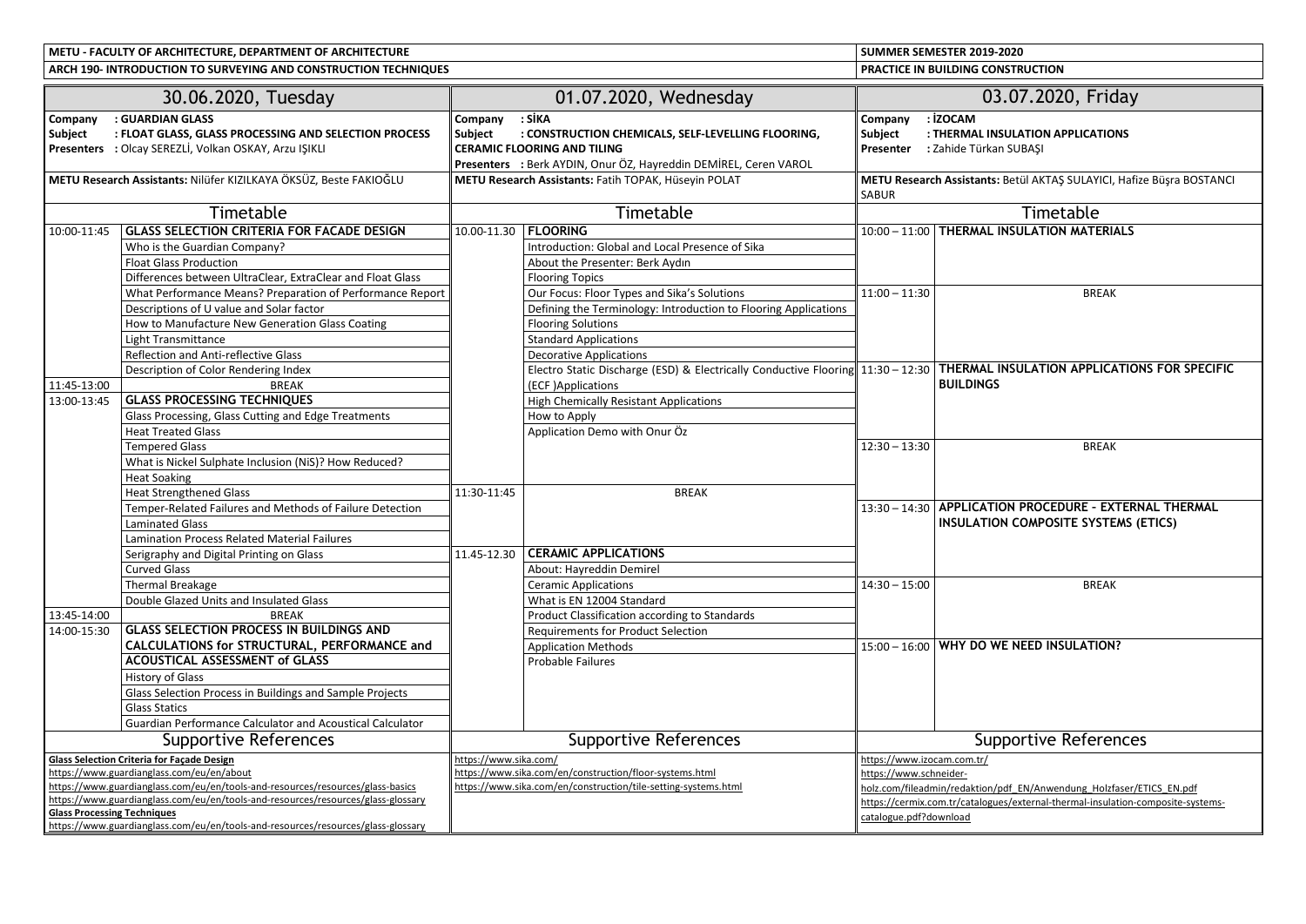**METU - FACULTY OF ARCHITECTURE, DEPARTMENT OF ARCHITECTURESUMMER SEMESTER 2019-2020**

**PRACTICE IN BUILDING CONSTRUCTION ARCH 190- INTRODUCTION TO SURVEYING AND CONSTRUCTION TECHNIQUES**30.06.2020, Tuesday01.07.2020, Wednesday 03.07.2020, Friday **Company : GUARDIAN GLASS Subject : FLOAT GLASS, GLASS PROCESSING AND SELECTION PROCESS Presenters :** Olcay SEREZLİ, Volkan OSKAY, Arzu IŞIKLI**CompanyCompany** : SİKA<br>
Subiect : CON **Subject : CONSTRUCTION CHEMICALS, SELF-LEVELLING FLOORING, CERAMIC FLOORING AND TILING Presenters :** Berk AYDIN, Onur ÖZ, Hayreddin DEMİREL, Ceren VAROL**Company : İZOCAM Subject : THERMAL INSULATION APPLICATIONS Presenter :** Zahide Türkan SUBAŞI**METU Research Assistants:** Nilüfer KIZILKAYA ÖKSÜZ, Beste FAKIOĞLU **METU Research Assistants:** Fatih TOPAK, Hüseyin POLAT **METU Research Assistants:** Betül AKTAŞ SULAYICI, Hafize Büşra BOSTANCI SABUR**Timetable**  Timetable Timetable 10:00-11:45 **GLASS SELECTION CRITERIA FOR FACADE DESIGN** 10.00-11.30 **FLOORING** 10:00 – 11:00 **THERMAL INSULATION MATERIALS** Who is the Guardian Company? Introduction: Global and Local Presence of SikaFloat Glass ProductionAbout the Presenter: Berk Aydın<br>Flooring Topics Differences between UltraClear, ExtraClear and Float Glass Our Focus: Floor Types and Sika's SolutionsWhat Performance Means? Preparation of Performance Report 11:00 – 11:30 BREAKDescriptions of U value and Solar factor Defining the Terminology: Introduction to Flooring ApplicationsHow to Manufacture New Generation Glass Coating Flooring Solutions Light Transmittance Standard Applications Reflection and Anti-reflective GlassDecorative Applications Description of Color Rendering Index Electro Static Discharge (ESD) & Electrically Conductive Flooring 11:30 – 12:30 **THERMAL INSULATION APPLICATIONS FOR SPECIFIC**  11:45-13:00<u>BREAK</u><br>GLASS PROCESSING TECHNIOUES <u>(ECF )Applications **SOLUTIONS**</u> **BUILDINGS** 13:00-13:45**High Chemically Resistant Applications** Glass Processing, Glass Cutting and Edge Treatments How to Applys and a policies of the set of the set of the set of the set of the set of the set of the set of the set of the set of the set of the set of the set of the set of the set of the set of the set of the set of the set of the Heat Treated GlassTempered Glasss and the contract of  $\parallel$  and  $\parallel$  and  $\parallel$  and  $\parallel$  12:30 –  $\parallel$  12:30 –  $12:30 - 13:30$ 0 BREAK What is Nickel Sulphate Inclusion (NiS)? How Reduced?Heat Soaking Heat Strengthened Glass 11:30-11:455 BREAK Temper-Related Failures and Methods of Failure Detection 13:30 – 14:30 **APPLICATION PROCEDURE – EXTERNAL THERMAL**  Laminated Glass **International Composite Systems (ETICS)** Lamination Process Related Material FailuresSerigraphy and Digital Printing on Glass 11.45-12.30 **CERAMIC APPLICATIONS** Curved Glass About: Hayreddin Demirel Thermal Breakage Ceramic Applications **Ceramic Applications** s and  $14:30 14:30 - 15:00$  BREAK Double Glazed Units and Insulated Glass What is EN 12004 StandardK **EXECUTE:** Product Classification according to Standards 13:45-14:00 BREAK14:00-15:30**C GLASS SELECTION PROCESS IN BUILDINGS AND Requirements for Product Selection CALCULATIONS for STRUCTURAL, PERFORMANCE and** Application Methods 15:00 – 16:00 **WHY DO WE NEED INSULATION? ACOUSTICAL ASSESSMENT of GLASS** Probable Failures History of Glass

|                                                                                  | History of Glass                                                                 |                                                                |                                                                                 |  |
|----------------------------------------------------------------------------------|----------------------------------------------------------------------------------|----------------------------------------------------------------|---------------------------------------------------------------------------------|--|
|                                                                                  | Glass Selection Process in Buildings and Sample Projects                         |                                                                |                                                                                 |  |
|                                                                                  | <b>Glass Statics</b>                                                             |                                                                |                                                                                 |  |
|                                                                                  | <b>Guardian Performance Calculator and Acoustical Calculator</b>                 |                                                                |                                                                                 |  |
| Supportive References                                                            |                                                                                  | Supportive References                                          | Supportive References                                                           |  |
| <b>Glass Selection Criteria for Facade Design</b>                                |                                                                                  | https://www.sika.com/                                          | https://www.izocam.com.tr/                                                      |  |
| https://www.guardianglass.com/eu/en/about                                        |                                                                                  | https://www.sika.com/en/construction/floor-systems.html        | https://www.schneider-                                                          |  |
| https://www.guardianglass.com/eu/en/tools-and-resources/resources/glass-basics   |                                                                                  | https://www.sika.com/en/construction/tile-setting-systems.html | holz.com/fileadmin/redaktion/pdf EN/Anwendung Holzfaser/ETICS EN.pdf            |  |
| https://www.guardianglass.com/eu/en/tools-and-resources/resources/glass-glossary |                                                                                  |                                                                | https://cermix.com.tr/catalogues/external-thermal-insulation-composite-systems- |  |
| <b>Glass Processing Techniques</b>                                               |                                                                                  |                                                                | catalogue.pdf?download                                                          |  |
|                                                                                  | https://www.guardianglass.com/eu/en/tools-and-resources/resources/glass-glossary |                                                                |                                                                                 |  |